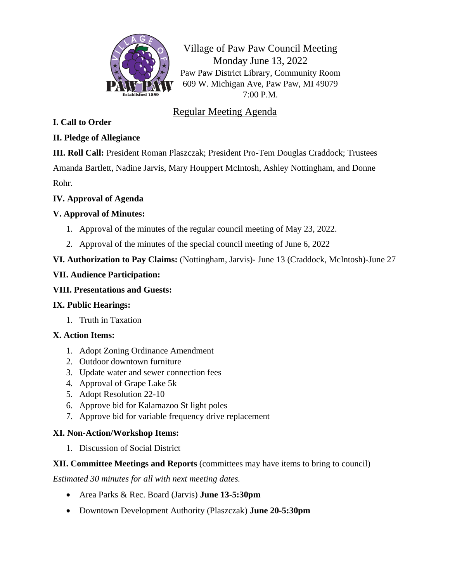

Village of Paw Paw Council Meeting Monday June 13, 2022 Paw Paw District Library, Community Room 609 W. Michigan Ave, Paw Paw, MI 49079 7:00 P.M.

# Regular Meeting Agenda

## **I. Call to Order**

# **II. Pledge of Allegiance**

**III. Roll Call:** President Roman Plaszczak; President Pro-Tem Douglas Craddock; Trustees Amanda Bartlett, Nadine Jarvis, Mary Houppert McIntosh, Ashley Nottingham, and Donne Rohr.

#### **IV. Approval of Agenda**

## **V. Approval of Minutes:**

- 1. Approval of the minutes of the regular council meeting of May 23, 2022.
- 2. Approval of the minutes of the special council meeting of June 6, 2022
- **VI. Authorization to Pay Claims:** (Nottingham, Jarvis)- June 13 (Craddock, McIntosh)-June 27

#### **VII. Audience Participation:**

#### **VIII. Presentations and Guests:**

## **IX. Public Hearings:**

1. Truth in Taxation

## **X. Action Items:**

- 1. Adopt Zoning Ordinance Amendment
- 2. Outdoor downtown furniture
- 3. Update water and sewer connection fees
- 4. Approval of Grape Lake 5k
- 5. Adopt Resolution 22-10
- 6. Approve bid for Kalamazoo St light poles
- 7. Approve bid for variable frequency drive replacement

## **XI. Non-Action/Workshop Items:**

1. Discussion of Social District

## **XII. Committee Meetings and Reports** (committees may have items to bring to council)

*Estimated 30 minutes for all with next meeting dates.*

- Area Parks & Rec. Board (Jarvis) **June 13-5:30pm**
- Downtown Development Authority (Plaszczak) **June 20-5:30pm**